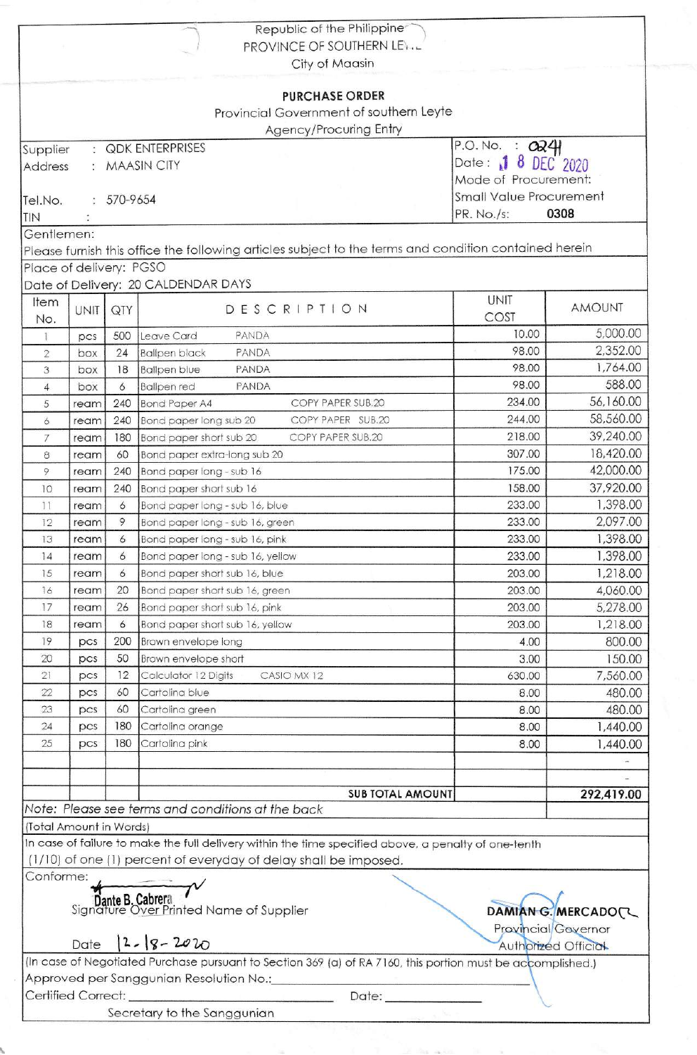|                         |             |                | Republic of the Philippine                                                                                  |                                  |                     |  |
|-------------------------|-------------|----------------|-------------------------------------------------------------------------------------------------------------|----------------------------------|---------------------|--|
|                         |             |                | PROVINCE OF SOUTHERN LETTL<br>City of Maasin                                                                |                                  |                     |  |
|                         |             |                | <b>PURCHASE ORDER</b>                                                                                       |                                  |                     |  |
|                         |             |                | Provincial Government of southern Leyte                                                                     |                                  |                     |  |
|                         |             |                | Agency/Procuring Entry                                                                                      |                                  |                     |  |
| Supplier                |             |                | : QDK ENTERPRISES                                                                                           | P.O.No. : O24                    |                     |  |
| Address                 |             |                | : MAASIN CITY                                                                                               | 8 DEC 2020<br>Date: $\mathbf{I}$ |                     |  |
|                         |             |                |                                                                                                             | Mode of Procurement:             |                     |  |
| Tel.No.                 |             | $: 570 - 9654$ |                                                                                                             | <b>Small Value Procurement</b>   |                     |  |
| TIN                     |             | PR. No./s:     | 0308                                                                                                        |                                  |                     |  |
| Gentlemen:              |             |                |                                                                                                             |                                  |                     |  |
|                         |             |                | Please furnish this office the following articles subject to the terms and condition contained herein       |                                  |                     |  |
| Place of delivery: PGSO |             |                |                                                                                                             |                                  |                     |  |
|                         |             |                | Date of Delivery: 20 CALDENDAR DAYS                                                                         |                                  |                     |  |
| Item                    | <b>UNIT</b> | QTY            | DESCRIPTION                                                                                                 | <b>UNIT</b>                      | <b>AMOUNT</b>       |  |
| No.                     |             |                |                                                                                                             | COST                             |                     |  |
| Ŧ.                      | pcs         | 500            | PANDA<br>Leave Card                                                                                         | 10.00                            | 5,000.00            |  |
| $\overline{2}$          | box         | 24             | PANDA<br><b>Ballpen black</b>                                                                               | 98.00                            | 2,352.00            |  |
| 3                       | box         | 18             | <b>Ballpen blue</b><br>PANDA                                                                                | 98.00                            | 1,764.00            |  |
| 4                       | box         | 6              | <b>Ballpen red</b><br>PANDA                                                                                 | 98.00                            | 588.00              |  |
| 5                       | ream        | 240            | <b>Bond Paper A4</b><br>COPY PAPER SUB.20                                                                   | 234.00                           | 56,160.00           |  |
| 6                       | ream        | 240            | Bond paper long sub 20<br>COPY PAPER SUB.20                                                                 | 244.00                           | 58,560.00           |  |
| 7                       | ream        | 180            | Bond paper short sub 20<br>COPY PAPER SUB.20                                                                | 218.00                           | 39,240.00           |  |
| 8                       | ream        | 60             | Bond paper extra-long sub 20                                                                                | 307.00                           | 18,420.00           |  |
| 9                       | ream        | 240            | Bond paper long - sub 16                                                                                    | 175.00                           | 42,000.00           |  |
| 10                      | ream        | 240            | Bond paper short sub 16                                                                                     | 158.00                           | 37,920.00           |  |
| 11                      | ream        | 6              | Bond paper long - sub 16, blue                                                                              | 233.00                           | 1,398.00            |  |
| 12                      | ream        | 9              | Bond paper long - sub 16, green                                                                             | 233.00                           | 2,097.00            |  |
| 13                      | ream        | 6              | Bond paper long - sub 16, pink                                                                              | 233.00                           | 1,398.00            |  |
| 14                      | ream        | 6              | Bond paper long - sub 16, yellow                                                                            | 233.00                           | 1,398.00            |  |
| 15                      | ream        | 6              | Bond paper short sub 16, blue                                                                               | 203.00                           | 1,218.00            |  |
| 16                      | ream        | 20             | Bond paper short sub 16, green                                                                              | 203.00                           | 4,060.00            |  |
| 17                      | ream        | 26             | Bond paper short sub 16, pink                                                                               | 203.00                           | 5,278.00            |  |
| 18                      | ream        | 6              | Bond paper short sub 16, yellow                                                                             | 203.00                           | 1,218.00            |  |
| 19                      | pcs         | 200            | Brown envelope long                                                                                         | 4.00                             | 800.00              |  |
| 20                      | pcs         | 50             | Brown envelope short                                                                                        | 3.00                             | 150.00              |  |
| 21                      | pcs         | 12             | Calculator 12 Digits<br>CASIO MX 12                                                                         | 630.00                           | 7,560.00            |  |
| 22                      | pcs         | 60             | Cartolina blue                                                                                              | 8.00                             | 480.00              |  |
| 23                      | pcs         | 60             | Cartolina green                                                                                             | 8.00                             | 480.00              |  |
| 24                      | pcs         | 180            | Cartolina orange                                                                                            | 8.00                             | 1,440.00            |  |
| 25                      | pcs         | 180            | Cartolina pink                                                                                              | 8.00                             | 1,440.00            |  |
|                         |             |                |                                                                                                             |                                  |                     |  |
|                         |             |                |                                                                                                             |                                  |                     |  |
|                         |             |                | <b>SUB TOTAL AMOUNT</b>                                                                                     |                                  | 292,419.00          |  |
|                         |             |                | Note: Please see terms and conditions at the back                                                           |                                  |                     |  |
| (Total Amount in Words) |             |                |                                                                                                             |                                  |                     |  |
|                         |             |                | In case of failure to make the full delivery within the time specified above, a penalty of one-tenth        |                                  |                     |  |
|                         |             |                | (1/10) of one (1) percent of everyday of delay shall be imposed.                                            |                                  |                     |  |
| Conforme:               |             |                |                                                                                                             |                                  |                     |  |
|                         |             |                |                                                                                                             |                                  |                     |  |
|                         |             |                | Signature B. Cabrera<br>Signature Over Printed Name of Supplier                                             |                                  | DAMIAN G. MERCADOL  |  |
|                         |             |                |                                                                                                             | Provincial Governor              |                     |  |
|                         | Date        |                | $ 2 - 8 - 2020$                                                                                             |                                  | Authorized Official |  |
|                         |             |                | (In case of Negotiated Purchase pursuant to Section 369 (a) of RA 7160, this portion must be accomplished.) |                                  |                     |  |
|                         |             |                | Approved per Sanggunian Resolution No.:                                                                     |                                  |                     |  |
| Certified Correct:      |             |                | Date: _____________                                                                                         |                                  |                     |  |
|                         |             |                | Secretary to the Sanggunian                                                                                 |                                  |                     |  |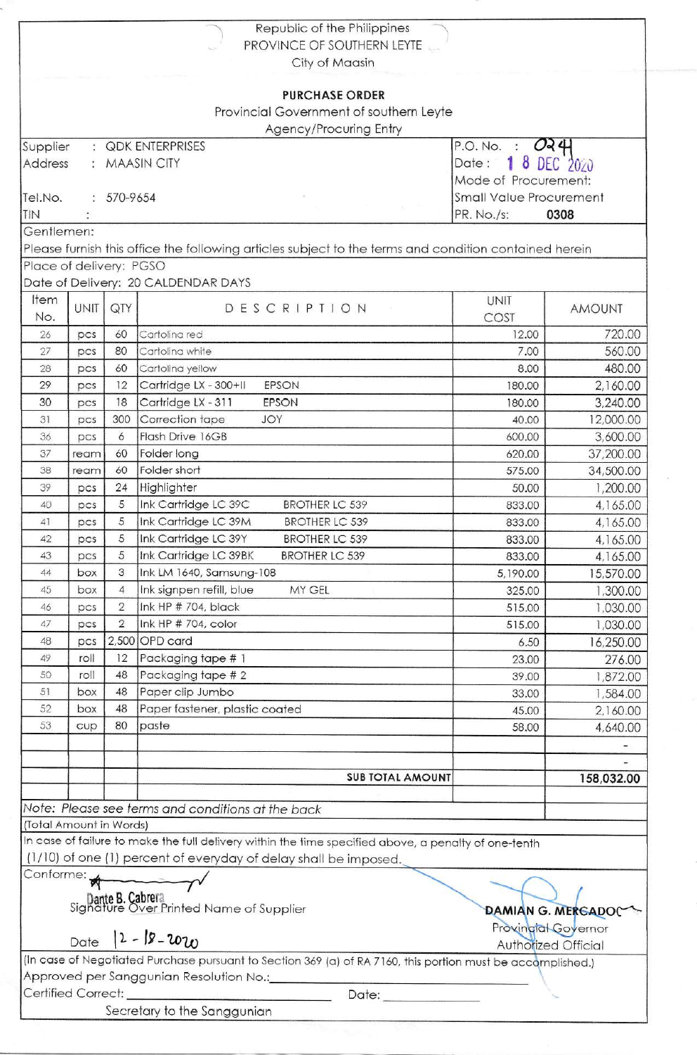|                          |      |                | Republic of the Philippines                                                                                 |                                    |               |  |
|--------------------------|------|----------------|-------------------------------------------------------------------------------------------------------------|------------------------------------|---------------|--|
|                          |      |                | PROVINCE OF SOUTHERN LEYTE                                                                                  |                                    |               |  |
|                          |      |                | City of Maasin                                                                                              |                                    |               |  |
|                          |      |                | <b>PURCHASE ORDER</b>                                                                                       |                                    |               |  |
|                          |      |                | Provincial Government of southern Leyte                                                                     |                                    |               |  |
|                          |      |                | Agency/Procuring Entry                                                                                      |                                    |               |  |
| Supplier                 |      |                | <b>QDK ENTERPRISES</b>                                                                                      | $O$ <sub>2</sub> $4$<br>P.O. No. : |               |  |
| Address<br>: MAASIN CITY |      |                |                                                                                                             | 8 DEC 2020<br>Date:                |               |  |
|                          |      |                |                                                                                                             | Mode of Procurement:               |               |  |
| Tel.No.                  |      | $: 570 - 9654$ | <b>Small Value Procurement</b>                                                                              |                                    |               |  |
| TIN                      |      |                | PR. No./s:<br>0308                                                                                          |                                    |               |  |
| Gentlemen:               |      |                |                                                                                                             |                                    |               |  |
|                          |      |                | Please furnish this office the following articles subject to the terms and condition contained herein       |                                    |               |  |
| Place of delivery: PGSO  |      |                |                                                                                                             |                                    |               |  |
|                          |      |                | Date of Delivery: 20 CALDENDAR DAYS                                                                         |                                    |               |  |
| Item                     | UNIT | QTY            | DESCRIPTION                                                                                                 | <b>UNIT</b>                        | <b>AMOUNT</b> |  |
| No.                      |      |                |                                                                                                             | COST                               |               |  |
| 26                       | pcs  | 60             | Cartolina red                                                                                               | 12.00                              | 720.00        |  |
| 27                       | pcs  | 80             | Cartolina white                                                                                             | 7.00                               | 560.00        |  |
| 28                       | pcs  | 60             | Cartolina yellow                                                                                            | 8.00                               | 480.00        |  |
| 29                       | pcs  | 12             | Cartridge LX - 300+II<br><b>EPSON</b>                                                                       | 180.00                             | 2,160.00      |  |
| 30                       | pcs  | 18             | Cartridge LX - 311<br>EPSON                                                                                 | 180.00                             | 3,240.00      |  |
| 31                       | pcs  | 300            | Correction tape<br>JOY                                                                                      | 40.00                              | 12,000.00     |  |
| 36                       | pcs  | 6              | Flash Drive 16GB                                                                                            | 600.00                             | 3,600.00      |  |
| 37                       | ream | 60             | Folder long                                                                                                 | 620.00                             | 37,200.00     |  |
| 38                       | ream | 60             | Folder short                                                                                                | 575.00                             | 34,500.00     |  |
| 39                       | pcs  | 24             | Highlighter                                                                                                 | 50.00                              | 1,200.00      |  |
| 40                       | DCS  | 5              | Ink Cartridge LC 39C<br><b>BROTHER LC 539</b>                                                               | 833.00                             | 4,165.00      |  |
| 41                       | pcs  | 5              | Ink Cartridge LC 39M<br><b>BROTHER LC 539</b>                                                               | 833.00                             | 4,165.00      |  |
| 42                       | pcs  | 5              | Ink Cartridge LC 39Y<br><b>BROTHER LC 539</b>                                                               | 833.00                             | 4,165.00      |  |
| 43                       | pcs  | 5              | Ink Cartridge LC 39BK<br><b>BROTHER LC 539</b>                                                              | 833.00                             | 4,165.00      |  |
| 44                       | box  | 3              | Ink LM 1640, Samsung-108                                                                                    | 5,190.00                           | 15,570.00     |  |
| 45                       | box  | $\overline{4}$ | Ink signpen refill, blue<br>MY GEL                                                                          | 325.00                             | 1,300.00      |  |
| 46                       | pcs  | $\overline{2}$ | Ink HP # 704, black                                                                                         | 515.00                             | 1,030.00      |  |
| 47                       | pcs  | $\overline{2}$ | Ink HP # 704, color                                                                                         | 515.00                             | 1,030.00      |  |
| 48                       | pcs  |                | $2,500$ OPD card                                                                                            | 6.50                               | 16,250.00     |  |
| 49                       | roll | 12             | Packaging tape # 1                                                                                          | 23.00                              | 276.00        |  |
| 50                       | roll | 48             | Packaging tape # 2                                                                                          | 39.00                              | 1,872.00      |  |
| 51                       | box  | 48             | Paper clip Jumbo                                                                                            | 33.00                              | 1,584.00      |  |
| 52                       | box  | 48             | Paper fastener, plastic coated                                                                              | 45.00                              | 2,160.00      |  |
| 53                       | cup  | 80             | paste                                                                                                       | 58.00                              | 4,640.00      |  |
|                          |      |                |                                                                                                             |                                    |               |  |
|                          |      |                |                                                                                                             |                                    |               |  |
|                          |      |                | <b>SUB TOTAL AMOUNT</b>                                                                                     |                                    | 158,032.00    |  |
|                          |      |                | Note: Please see terms and conditions at the back                                                           |                                    |               |  |
| (Total Amount in Words)  |      |                |                                                                                                             |                                    |               |  |
|                          |      |                | In case of failure to make the full delivery within the time specified above, a penalty of one-tenth        |                                    |               |  |
|                          |      |                | (1/10) of one (1) percent of everyday of delay shall be imposed.                                            |                                    |               |  |
| Conforme:                |      |                |                                                                                                             |                                    |               |  |
|                          |      |                |                                                                                                             |                                    |               |  |
|                          |      |                | <b>Dante B. Cabrera</b><br>Signature Over Printed Name of Supplier                                          | <b>DAMIAN G. MERCADOC</b>          |               |  |
|                          |      |                |                                                                                                             | Provingial Governor                |               |  |
|                          |      |                | Date $ 2 - 18 - 2020$                                                                                       | <b>Authorized Official</b>         |               |  |
|                          |      |                | (In case of Negotiated Purchase pursuant to Section 369 (a) of RA 7160, this portion must be accomplished.) |                                    |               |  |
|                          |      |                | Approved per Sanggunian Resolution No.:                                                                     |                                    |               |  |
|                          |      |                | Date: <b>Date:</b>                                                                                          |                                    |               |  |
| Certified Correct:       |      |                |                                                                                                             |                                    |               |  |